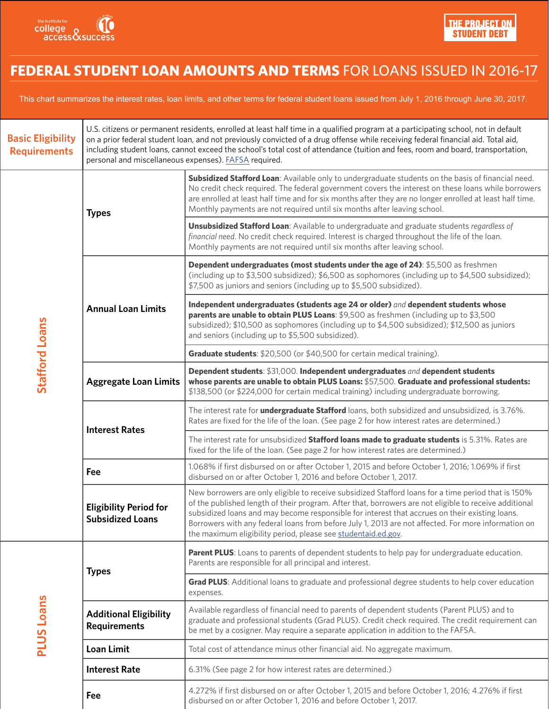

## **Federal Student loan amounts and terms** for loans issued in 2016-17

This chart summarizes the interest rates, loan limits, and other terms for federal student loans issued from July 1, 2016 through June 30, 2017.

| <b>Basic Eligibility</b><br><b>Requirements</b> | U.S. citizens or permanent residents, enrolled at least half time in a qualified program at a participating school, not in default<br>on a prior federal student loan, and not previously convicted of a drug offense while receiving federal financial aid. Total aid,<br>including student loans, cannot exceed the school's total cost of attendance (tuition and fees, room and board, transportation,<br>personal and miscellaneous expenses). FAFSA required. |                                                                                                                                                                                                                                                                                                                                                                                                                                                                                         |  |
|-------------------------------------------------|---------------------------------------------------------------------------------------------------------------------------------------------------------------------------------------------------------------------------------------------------------------------------------------------------------------------------------------------------------------------------------------------------------------------------------------------------------------------|-----------------------------------------------------------------------------------------------------------------------------------------------------------------------------------------------------------------------------------------------------------------------------------------------------------------------------------------------------------------------------------------------------------------------------------------------------------------------------------------|--|
| Stafford Loans                                  | <b>Types</b>                                                                                                                                                                                                                                                                                                                                                                                                                                                        | Subsidized Stafford Loan: Available only to undergraduate students on the basis of financial need.<br>No credit check required. The federal government covers the interest on these loans while borrowers<br>are enrolled at least half time and for six months after they are no longer enrolled at least half time.<br>Monthly payments are not required until six months after leaving school.                                                                                       |  |
|                                                 |                                                                                                                                                                                                                                                                                                                                                                                                                                                                     | Unsubsidized Stafford Loan: Available to undergraduate and graduate students regardless of<br>financial need. No credit check required. Interest is charged throughout the life of the loan.<br>Monthly payments are not required until six months after leaving school.                                                                                                                                                                                                                |  |
|                                                 | <b>Annual Loan Limits</b>                                                                                                                                                                                                                                                                                                                                                                                                                                           | Dependent undergraduates (most students under the age of 24): \$5,500 as freshmen<br>(including up to $$3,500$ subsidized); $$6,500$ as sophomores (including up to $$4,500$ subsidized);<br>\$7,500 as juniors and seniors (including up to \$5,500 subsidized).                                                                                                                                                                                                                       |  |
|                                                 |                                                                                                                                                                                                                                                                                                                                                                                                                                                                     | Independent undergraduates (students age 24 or older) and dependent students whose<br>parents are unable to obtain PLUS Loans: \$9,500 as freshmen (including up to \$3,500<br>subsidized); \$10,500 as sophomores (including up to \$4,500 subsidized); \$12,500 as juniors<br>and seniors (including up to \$5,500 subsidized).                                                                                                                                                       |  |
|                                                 |                                                                                                                                                                                                                                                                                                                                                                                                                                                                     | Graduate students: \$20,500 (or \$40,500 for certain medical training).                                                                                                                                                                                                                                                                                                                                                                                                                 |  |
|                                                 | <b>Aggregate Loan Limits</b>                                                                                                                                                                                                                                                                                                                                                                                                                                        | Dependent students: \$31,000. Independent undergraduates and dependent students<br>whose parents are unable to obtain PLUS Loans: \$57,500. Graduate and professional students:<br>\$138,500 (or \$224,000 for certain medical training) including undergraduate borrowing.                                                                                                                                                                                                             |  |
|                                                 | <b>Interest Rates</b>                                                                                                                                                                                                                                                                                                                                                                                                                                               | The interest rate for <i>undergraduate Stafford</i> loans, both subsidized and unsubsidized, is 3.76%.<br>Rates are fixed for the life of the loan. (See page 2 for how interest rates are determined.)                                                                                                                                                                                                                                                                                 |  |
|                                                 |                                                                                                                                                                                                                                                                                                                                                                                                                                                                     | The interest rate for unsubsidized Stafford loans made to graduate students is 5.31%. Rates are<br>fixed for the life of the loan. (See page 2 for how interest rates are determined.)                                                                                                                                                                                                                                                                                                  |  |
|                                                 | Fee                                                                                                                                                                                                                                                                                                                                                                                                                                                                 | 1.068% if first disbursed on or after October 1, 2015 and before October 1, 2016; 1.069% if first<br>disbursed on or after October 1, 2016 and before October 1, 2017.                                                                                                                                                                                                                                                                                                                  |  |
|                                                 | <b>Eligibility Period for</b><br><b>Subsidized Loans</b>                                                                                                                                                                                                                                                                                                                                                                                                            | New borrowers are only eligible to receive subsidized Stafford loans for a time period that is 150%<br>of the published length of their program. After that, borrowers are not eligible to receive additional<br>subsidized loans and may become responsible for interest that accrues on their existing loans.<br>Borrowers with any federal loans from before July 1, 2013 are not affected. For more information on<br>the maximum eligibility period, please see studentaid.ed.gov. |  |
| <b>PLUS Loans</b>                               | <b>Types</b>                                                                                                                                                                                                                                                                                                                                                                                                                                                        | Parent PLUS: Loans to parents of dependent students to help pay for undergraduate education.<br>Parents are responsible for all principal and interest.                                                                                                                                                                                                                                                                                                                                 |  |
|                                                 |                                                                                                                                                                                                                                                                                                                                                                                                                                                                     | Grad PLUS: Additional loans to graduate and professional degree students to help cover education<br>expenses.                                                                                                                                                                                                                                                                                                                                                                           |  |
|                                                 | <b>Additional Eligibility</b><br><b>Requirements</b>                                                                                                                                                                                                                                                                                                                                                                                                                | Available regardless of financial need to parents of dependent students (Parent PLUS) and to<br>graduate and professional students (Grad PLUS). Credit check required. The credit requirement can<br>be met by a cosigner. May require a separate application in addition to the FAFSA.                                                                                                                                                                                                 |  |
|                                                 | <b>Loan Limit</b>                                                                                                                                                                                                                                                                                                                                                                                                                                                   | Total cost of attendance minus other financial aid. No aggregate maximum.                                                                                                                                                                                                                                                                                                                                                                                                               |  |
|                                                 | <b>Interest Rate</b>                                                                                                                                                                                                                                                                                                                                                                                                                                                | 6.31% (See page 2 for how interest rates are determined.)                                                                                                                                                                                                                                                                                                                                                                                                                               |  |
|                                                 | Fee                                                                                                                                                                                                                                                                                                                                                                                                                                                                 | 4.272% if first disbursed on or after October 1, 2015 and before October 1, 2016; 4.276% if first<br>disbursed on or after October 1, 2016 and before October 1, 2017.                                                                                                                                                                                                                                                                                                                  |  |